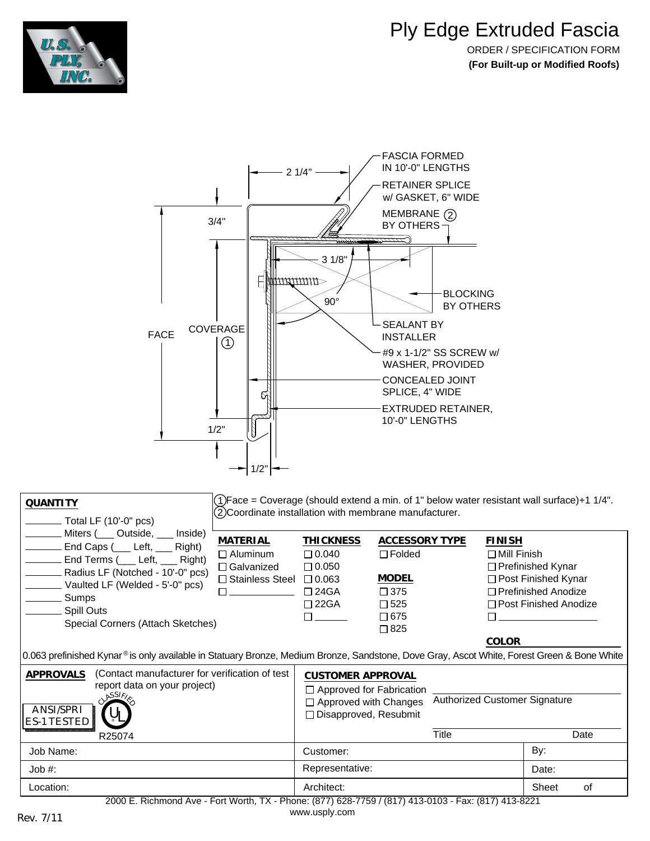

## Ply Edge Extruded Fascia

ORDER / SPECIFICATION FORM **(For Built-up or Modified Roofs)**



| <b>QUANTITY</b><br>(2)Coordinate installation with membrane manufacturer.<br>Total LF (10'-0" pcs)                                                                                                                                                                                                                                                                                                                                                                                                                                                                                                                                                                                                          | (1)Face = Coverage (should extend a min. of 1" below water resistant wall surface)+1 1/4". |  |  |  |  |
|-------------------------------------------------------------------------------------------------------------------------------------------------------------------------------------------------------------------------------------------------------------------------------------------------------------------------------------------------------------------------------------------------------------------------------------------------------------------------------------------------------------------------------------------------------------------------------------------------------------------------------------------------------------------------------------------------------------|--------------------------------------------------------------------------------------------|--|--|--|--|
| Miters (Coutside, Counterpolate)<br>MATERIAL<br>ACCESSORY TYPE<br><b>THICKNESS</b><br><b>FINISH</b><br>End Caps (___ Left, ___ Right)<br>$\Box$ Aluminum<br>$\Box$ 0.040<br>$\Box$ Folded<br>$\Box$ Mill Finish<br>End Terms (___ Left, ___ Right)<br>$\Box$ Galvanized<br>$\Box$ 0.050<br>$\Box$ Prefinished Kynar<br>Radius LF (Notched - 10'-0" pcs)<br><b>MODEL</b><br>$\Box$ 0.063<br>□ Post Finished Kynar<br>$\Box$ Stainless Steel<br>Vaulted LF (Welded - 5'-0" pcs)<br>$\Box$ Prefinished Anodize<br>$\Box$ 24GA<br>$\Box$ 375<br>Sumps<br>□ Post Finished Anodize<br>$\Box$ 22GA<br>$\square$ 525<br>Spill Outs<br>$\Box$ 675<br>Special Corners (Attach Sketches)<br>$\Box$ 825<br><b>COLOR</b> |                                                                                            |  |  |  |  |
| 0.063 prefinished Kynar® is only available in Statuary Bronze, Medium Bronze, Sandstone, Dove Gray, Ascot White, Forest Green & Bone White                                                                                                                                                                                                                                                                                                                                                                                                                                                                                                                                                                  |                                                                                            |  |  |  |  |
| (Contact manufacturer for verification of test<br>APPROVALS<br><b>CUSTOMER APPROVAL</b><br>report data on your project)<br>$\Box$ Approved for Fabrication<br>MSSIF/<br>Authorized Customer Signature<br>$\Box$ Approved with Changes<br>ANSI/SPRI<br>□ Disapproved, Resubmit<br>ES-1 TESTED                                                                                                                                                                                                                                                                                                                                                                                                                |                                                                                            |  |  |  |  |
| Title<br>Date<br>R25074                                                                                                                                                                                                                                                                                                                                                                                                                                                                                                                                                                                                                                                                                     |                                                                                            |  |  |  |  |
| By:<br>Job Name:<br>Customer:                                                                                                                                                                                                                                                                                                                                                                                                                                                                                                                                                                                                                                                                               |                                                                                            |  |  |  |  |
| Representative:<br>Job #:<br>Date:                                                                                                                                                                                                                                                                                                                                                                                                                                                                                                                                                                                                                                                                          |                                                                                            |  |  |  |  |
| Architect:<br>Sheet<br>οf<br>Location:<br>2000 E. Richmond Ave - Fort Worth, TX - Phone: (877) 628-7759 / (817) 413-0103 - Fax: (817) 413-8221                                                                                                                                                                                                                                                                                                                                                                                                                                                                                                                                                              |                                                                                            |  |  |  |  |

[www.usply.com](http://www.usply.com/) Rev. 7/11